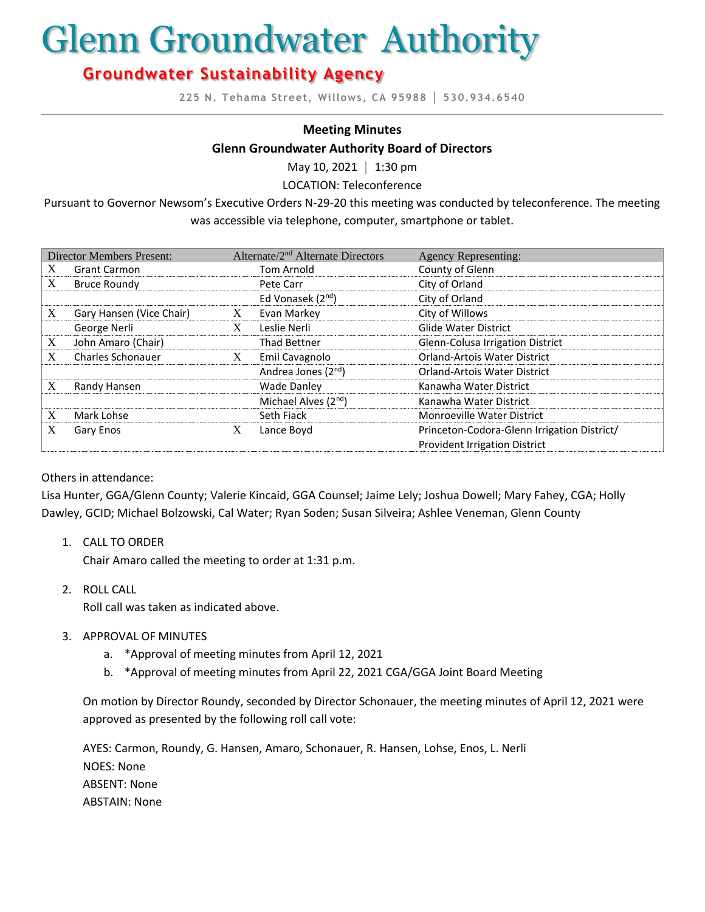# Glenn Groundwater Authority

# **Groundwater Sustainability Agency**

**225 N. Tehama Street, Willows, CA 95988 │ 530.934.6540**

#### **Meeting Minutes**

#### **Glenn Groundwater Authority Board of Directors**

May 10, 2021 **│** 1:30 pm

LOCATION: Teleconference

Pursuant to Governor Newsom's Executive Orders N-29-20 this meeting was conducted by teleconference. The meeting was accessible via telephone, computer, smartphone or tablet.

| <b>Director Members Present:</b> |                          | Alternate/2 <sup>nd</sup> Alternate Directors |                                  | <b>Agency Representing:</b>                 |
|----------------------------------|--------------------------|-----------------------------------------------|----------------------------------|---------------------------------------------|
| X                                | <b>Grant Carmon</b>      |                                               | Tom Arnold                       | County of Glenn                             |
| X                                | <b>Bruce Roundy</b>      |                                               | Pete Carr                        | City of Orland                              |
|                                  |                          |                                               | Ed Vonasek (2 <sup>nd</sup> )    | City of Orland                              |
| X                                | Gary Hansen (Vice Chair) | X                                             | Evan Markey                      | City of Willows                             |
|                                  | George Nerli             | X                                             | Leslie Nerli                     | <b>Glide Water District</b>                 |
| X                                | John Amaro (Chair)       |                                               | <b>Thad Bettner</b>              | Glenn-Colusa Irrigation District            |
| X                                | <b>Charles Schonauer</b> | X                                             | Emil Cavagnolo                   | <b>Orland-Artois Water District</b>         |
|                                  |                          |                                               | Andrea Jones (2 <sup>nd</sup> )  | <b>Orland-Artois Water District</b>         |
| X                                | Randy Hansen             |                                               | <b>Wade Danley</b>               | Kanawha Water District                      |
|                                  |                          |                                               | Michael Alves (2 <sup>nd</sup> ) | Kanawha Water District                      |
| X                                | Mark Lohse               |                                               | Seth Fiack                       | <b>Monroeville Water District</b>           |
| X                                | Gary Enos                | X                                             | Lance Boyd                       | Princeton-Codora-Glenn Irrigation District/ |
|                                  |                          |                                               |                                  | <b>Provident Irrigation District</b>        |

#### Others in attendance:

Lisa Hunter, GGA/Glenn County; Valerie Kincaid, GGA Counsel; Jaime Lely; Joshua Dowell; Mary Fahey, CGA; Holly Dawley, GCID; Michael Bolzowski, Cal Water; Ryan Soden; Susan Silveira; Ashlee Veneman, Glenn County

1. CALL TO ORDER

Chair Amaro called the meeting to order at 1:31 p.m.

- 2. ROLL CALL Roll call was taken as indicated above.
- 3. APPROVAL OF MINUTES
	- a. \*Approval of meeting minutes from April 12, 2021
	- b. \*Approval of meeting minutes from April 22, 2021 CGA/GGA Joint Board Meeting

On motion by Director Roundy, seconded by Director Schonauer, the meeting minutes of April 12, 2021 were approved as presented by the following roll call vote:

AYES: Carmon, Roundy, G. Hansen, Amaro, Schonauer, R. Hansen, Lohse, Enos, L. Nerli NOES: None ABSENT: None ABSTAIN: None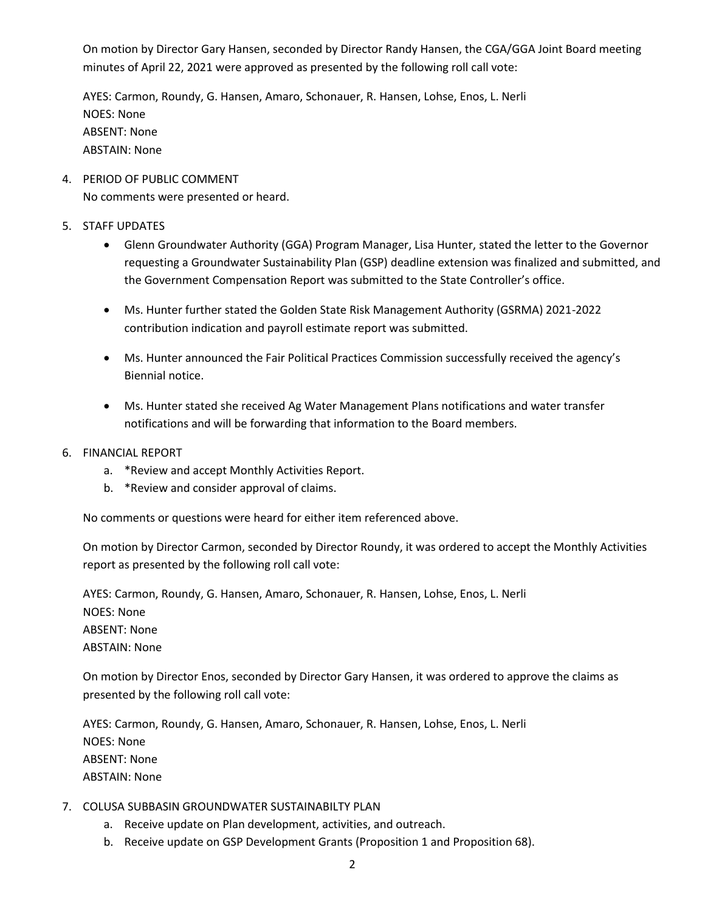On motion by Director Gary Hansen, seconded by Director Randy Hansen, the CGA/GGA Joint Board meeting minutes of April 22, 2021 were approved as presented by the following roll call vote:

AYES: Carmon, Roundy, G. Hansen, Amaro, Schonauer, R. Hansen, Lohse, Enos, L. Nerli NOES: None ABSENT: None ABSTAIN: None

- 4. PERIOD OF PUBLIC COMMENT No comments were presented or heard.
- 5. STAFF UPDATES
	- Glenn Groundwater Authority (GGA) Program Manager, Lisa Hunter, stated the letter to the Governor requesting a Groundwater Sustainability Plan (GSP) deadline extension was finalized and submitted, and the Government Compensation Report was submitted to the State Controller's office.
	- Ms. Hunter further stated the Golden State Risk Management Authority (GSRMA) 2021-2022 contribution indication and payroll estimate report was submitted.
	- Ms. Hunter announced the Fair Political Practices Commission successfully received the agency's Biennial notice.
	- Ms. Hunter stated she received Ag Water Management Plans notifications and water transfer notifications and will be forwarding that information to the Board members.
- 6. FINANCIAL REPORT
	- a. \*Review and accept Monthly Activities Report.
	- b. \*Review and consider approval of claims.

No comments or questions were heard for either item referenced above.

On motion by Director Carmon, seconded by Director Roundy, it was ordered to accept the Monthly Activities report as presented by the following roll call vote:

AYES: Carmon, Roundy, G. Hansen, Amaro, Schonauer, R. Hansen, Lohse, Enos, L. Nerli NOES: None ABSENT: None ABSTAIN: None

On motion by Director Enos, seconded by Director Gary Hansen, it was ordered to approve the claims as presented by the following roll call vote:

AYES: Carmon, Roundy, G. Hansen, Amaro, Schonauer, R. Hansen, Lohse, Enos, L. Nerli NOES: None ABSENT: None ABSTAIN: None

- 7. COLUSA SUBBASIN GROUNDWATER SUSTAINABILTY PLAN
	- a. Receive update on Plan development, activities, and outreach.
	- b. Receive update on GSP Development Grants (Proposition 1 and Proposition 68).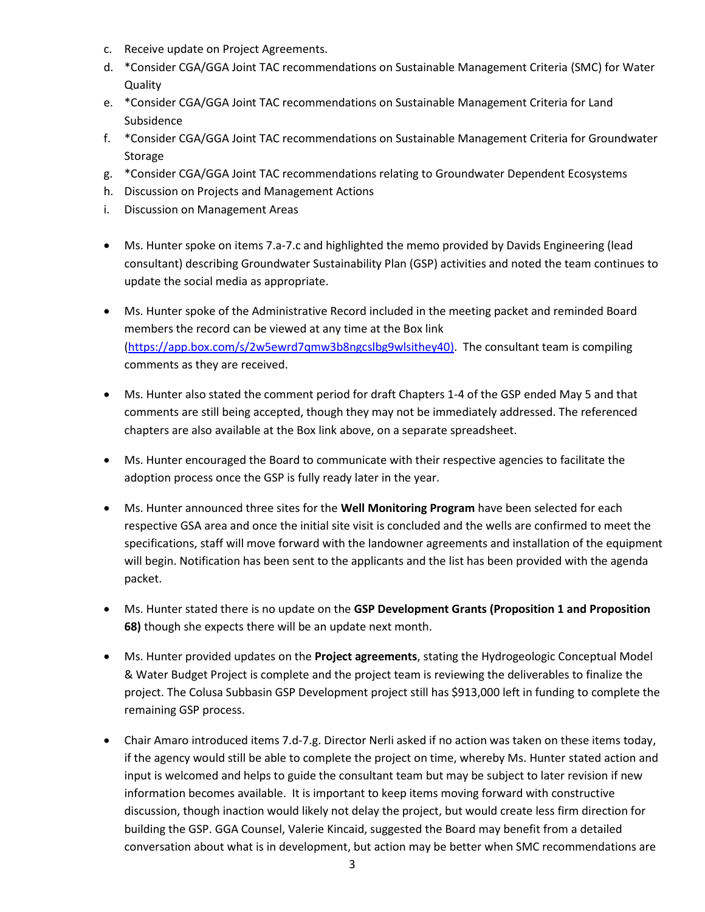- c. Receive update on Project Agreements.
- d. \*Consider CGA/GGA Joint TAC recommendations on Sustainable Management Criteria (SMC) for Water Quality
- e. \*Consider CGA/GGA Joint TAC recommendations on Sustainable Management Criteria for Land Subsidence
- f. \*Consider CGA/GGA Joint TAC recommendations on Sustainable Management Criteria for Groundwater Storage
- g. \*Consider CGA/GGA Joint TAC recommendations relating to Groundwater Dependent Ecosystems
- h. Discussion on Projects and Management Actions
- i. Discussion on Management Areas
- Ms. Hunter spoke on items 7.a-7.c and highlighted the memo provided by Davids Engineering (lead consultant) describing Groundwater Sustainability Plan (GSP) activities and noted the team continues to update the social media as appropriate.
- Ms. Hunter spoke of the Administrative Record included in the meeting packet and reminded Board members the record can be viewed at any time at the Box link [\(https://app.box.com/s/2w5ewrd7qmw3b8ngcslbg9wlsithey40\)](https://app.box.com/s/2w5ewrd7qmw3b8ngcslbg9wlsithey40). The consultant team is compiling comments as they are received.
- Ms. Hunter also stated the comment period for draft Chapters 1-4 of the GSP ended May 5 and that comments are still being accepted, though they may not be immediately addressed. The referenced chapters are also available at the Box link above, on a separate spreadsheet.
- Ms. Hunter encouraged the Board to communicate with their respective agencies to facilitate the adoption process once the GSP is fully ready later in the year.
- Ms. Hunter announced three sites for the **Well Monitoring Program** have been selected for each respective GSA area and once the initial site visit is concluded and the wells are confirmed to meet the specifications, staff will move forward with the landowner agreements and installation of the equipment will begin. Notification has been sent to the applicants and the list has been provided with the agenda packet.
- Ms. Hunter stated there is no update on the **GSP Development Grants (Proposition 1 and Proposition 68)** though she expects there will be an update next month.
- Ms. Hunter provided updates on the **Project agreements**, stating the Hydrogeologic Conceptual Model & Water Budget Project is complete and the project team is reviewing the deliverables to finalize the project. The Colusa Subbasin GSP Development project still has \$913,000 left in funding to complete the remaining GSP process.
- Chair Amaro introduced items 7.d-7.g. Director Nerli asked if no action was taken on these items today, if the agency would still be able to complete the project on time, whereby Ms. Hunter stated action and input is welcomed and helps to guide the consultant team but may be subject to later revision if new information becomes available. It is important to keep items moving forward with constructive discussion, though inaction would likely not delay the project, but would create less firm direction for building the GSP. GGA Counsel, Valerie Kincaid, suggested the Board may benefit from a detailed conversation about what is in development, but action may be better when SMC recommendations are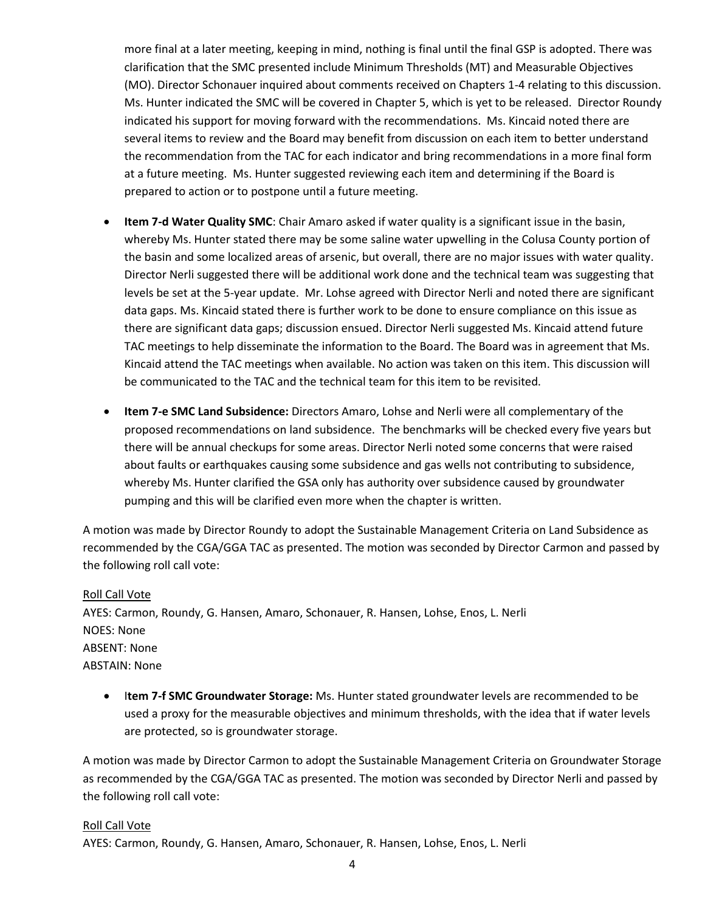more final at a later meeting, keeping in mind, nothing is final until the final GSP is adopted. There was clarification that the SMC presented include Minimum Thresholds (MT) and Measurable Objectives (MO). Director Schonauer inquired about comments received on Chapters 1-4 relating to this discussion. Ms. Hunter indicated the SMC will be covered in Chapter 5, which is yet to be released. Director Roundy indicated his support for moving forward with the recommendations. Ms. Kincaid noted there are several items to review and the Board may benefit from discussion on each item to better understand the recommendation from the TAC for each indicator and bring recommendations in a more final form at a future meeting. Ms. Hunter suggested reviewing each item and determining if the Board is prepared to action or to postpone until a future meeting.

- **Item 7-d Water Quality SMC**: Chair Amaro asked if water quality is a significant issue in the basin, whereby Ms. Hunter stated there may be some saline water upwelling in the Colusa County portion of the basin and some localized areas of arsenic, but overall, there are no major issues with water quality. Director Nerli suggested there will be additional work done and the technical team was suggesting that levels be set at the 5-year update. Mr. Lohse agreed with Director Nerli and noted there are significant data gaps. Ms. Kincaid stated there is further work to be done to ensure compliance on this issue as there are significant data gaps; discussion ensued. Director Nerli suggested Ms. Kincaid attend future TAC meetings to help disseminate the information to the Board. The Board was in agreement that Ms. Kincaid attend the TAC meetings when available. No action was taken on this item. This discussion will be communicated to the TAC and the technical team for this item to be revisited.
- **Item 7-e SMC Land Subsidence:** Directors Amaro, Lohse and Nerli were all complementary of the proposed recommendations on land subsidence. The benchmarks will be checked every five years but there will be annual checkups for some areas. Director Nerli noted some concerns that were raised about faults or earthquakes causing some subsidence and gas wells not contributing to subsidence, whereby Ms. Hunter clarified the GSA only has authority over subsidence caused by groundwater pumping and this will be clarified even more when the chapter is written.

A motion was made by Director Roundy to adopt the Sustainable Management Criteria on Land Subsidence as recommended by the CGA/GGA TAC as presented. The motion was seconded by Director Carmon and passed by the following roll call vote:

#### Roll Call Vote

AYES: Carmon, Roundy, G. Hansen, Amaro, Schonauer, R. Hansen, Lohse, Enos, L. Nerli NOES: None ABSENT: None ABSTAIN: None

• I**tem 7-f SMC Groundwater Storage:** Ms. Hunter stated groundwater levels are recommended to be used a proxy for the measurable objectives and minimum thresholds, with the idea that if water levels are protected, so is groundwater storage.

A motion was made by Director Carmon to adopt the Sustainable Management Criteria on Groundwater Storage as recommended by the CGA/GGA TAC as presented. The motion was seconded by Director Nerli and passed by the following roll call vote:

#### Roll Call Vote

AYES: Carmon, Roundy, G. Hansen, Amaro, Schonauer, R. Hansen, Lohse, Enos, L. Nerli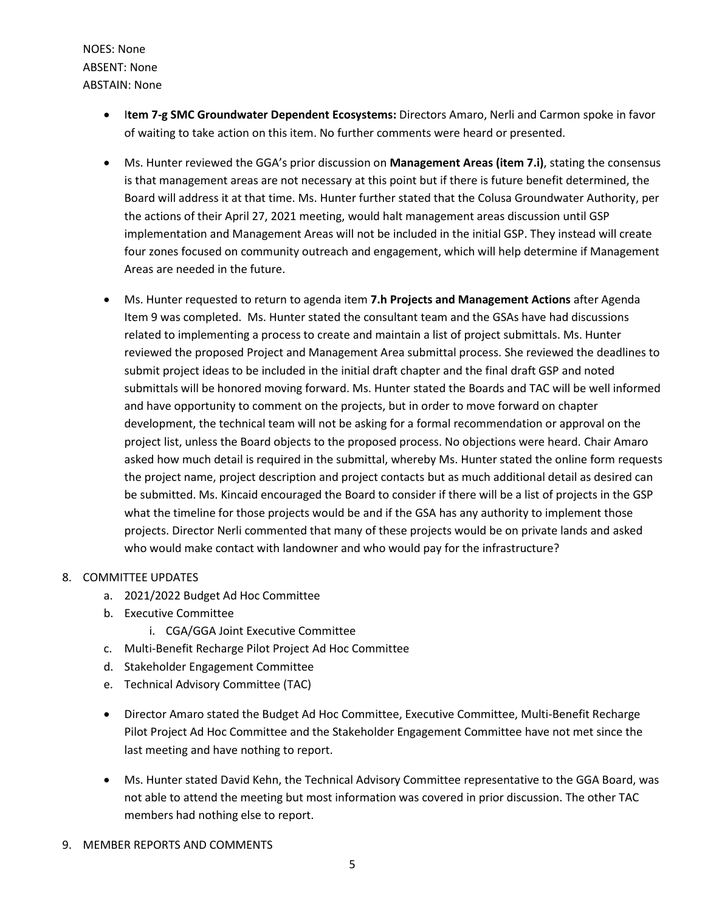NOES: None ABSENT: None ABSTAIN: None

- I**tem 7-g SMC Groundwater Dependent Ecosystems:** Directors Amaro, Nerli and Carmon spoke in favor of waiting to take action on this item. No further comments were heard or presented.
- Ms. Hunter reviewed the GGA's prior discussion on **Management Areas (item 7.i)**, stating the consensus is that management areas are not necessary at this point but if there is future benefit determined, the Board will address it at that time. Ms. Hunter further stated that the Colusa Groundwater Authority, per the actions of their April 27, 2021 meeting, would halt management areas discussion until GSP implementation and Management Areas will not be included in the initial GSP. They instead will create four zones focused on community outreach and engagement, which will help determine if Management Areas are needed in the future.
- Ms. Hunter requested to return to agenda item **7.h Projects and Management Actions** after Agenda Item 9 was completed. Ms. Hunter stated the consultant team and the GSAs have had discussions related to implementing a process to create and maintain a list of project submittals. Ms. Hunter reviewed the proposed Project and Management Area submittal process. She reviewed the deadlines to submit project ideas to be included in the initial draft chapter and the final draft GSP and noted submittals will be honored moving forward. Ms. Hunter stated the Boards and TAC will be well informed and have opportunity to comment on the projects, but in order to move forward on chapter development, the technical team will not be asking for a formal recommendation or approval on the project list, unless the Board objects to the proposed process. No objections were heard. Chair Amaro asked how much detail is required in the submittal, whereby Ms. Hunter stated the online form requests the project name, project description and project contacts but as much additional detail as desired can be submitted. Ms. Kincaid encouraged the Board to consider if there will be a list of projects in the GSP what the timeline for those projects would be and if the GSA has any authority to implement those projects. Director Nerli commented that many of these projects would be on private lands and asked who would make contact with landowner and who would pay for the infrastructure?

## 8. COMMITTEE UPDATES

- a. 2021/2022 Budget Ad Hoc Committee
- b. Executive Committee
	- i. CGA/GGA Joint Executive Committee
- c. Multi-Benefit Recharge Pilot Project Ad Hoc Committee
- d. Stakeholder Engagement Committee
- e. Technical Advisory Committee (TAC)
- Director Amaro stated the Budget Ad Hoc Committee, Executive Committee, Multi-Benefit Recharge Pilot Project Ad Hoc Committee and the Stakeholder Engagement Committee have not met since the last meeting and have nothing to report.
- Ms. Hunter stated David Kehn, the Technical Advisory Committee representative to the GGA Board, was not able to attend the meeting but most information was covered in prior discussion. The other TAC members had nothing else to report.
- 9. MEMBER REPORTS AND COMMENTS